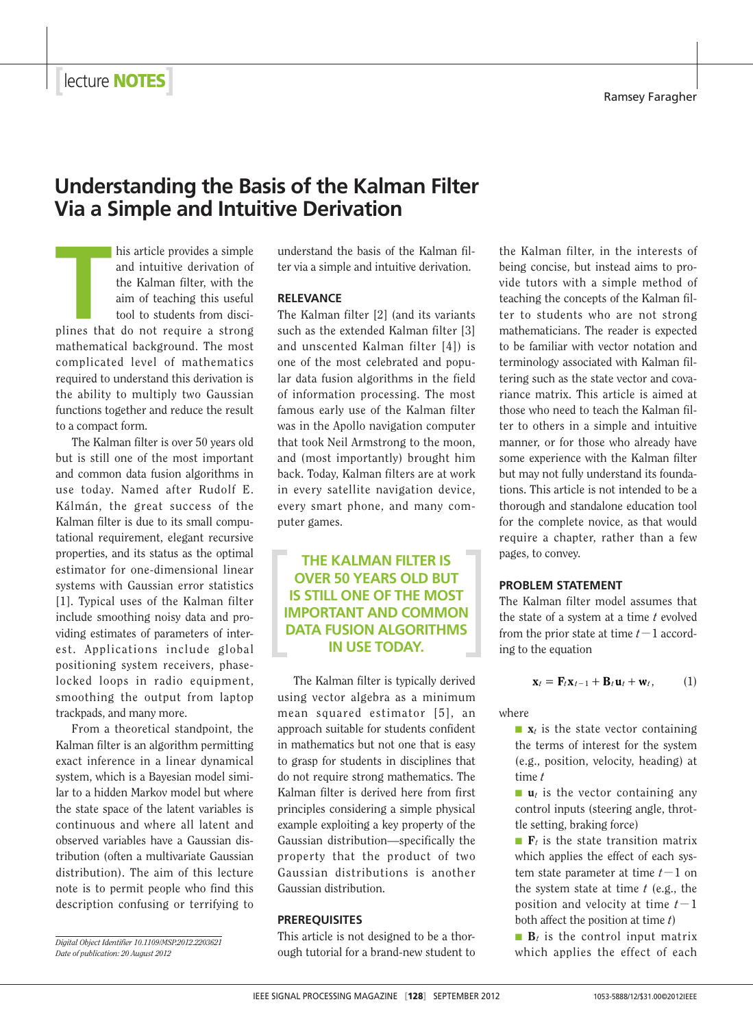**Properties**<br> **Ramsey Faragher <b>Example 2014**<br> **Ramsey Faragher** 

# **Understanding the Basis of the Kalman Filter Via a Simple and Intuitive Derivation**

**THE MAN ISSUE CONFIDENT ASSEMBED AND INTERNATIONAL STATE OF THE AMOUS CONFIDENCE AND THE AMOUS CONFIDENCE AND THE AMOUS CONFIDENCE AND THE AMOUS CONFIDENCE AND THE AMOUS CONFIDENCE AND THE AMOUS CONFIDENCE AND THE AMOUS C** his article provides a simple and intuitive derivation of the Kalman filter, with the aim of teaching this useful tool to students from discimathematical background. The most complicated level of mathematics required to understand this derivation is the ability to multiply two Gaussian functions together and reduce the result to a compact form.

The Kalman filter is over 50 years old but is still one of the most important and common data fusion algorithms in use today. Named after Rudolf E. Kálmán, the great success of the Kalman filter is due to its small computational requirement, elegant recursive properties, and its status as the optimal estimator for one-dimensional linear systems with Gaussian error statistics [1]. Typical uses of the Kalman filter include smoothing noisy data and providing estimates of parameters of interest. Applications include global positioning system receivers, phaselocked loops in radio equipment, smoothing the output from laptop trackpads, and many more.

From a theoretical standpoint, the Kalman filter is an algorithm permitting exact inference in a linear dynamical system, which is a Bayesian model similar to a hidden Markov model but where the state space of the latent variables is continuous and where all latent and observed variables have a Gaussian distribution (often a multivariate Gaussian distribution). The aim of this lecture note is to permit people who find this description confusing or terrifying to

*Digital Object Identifier 10.1109/MSP.2012.2203621 Date of publication: 20 August 2012*

understand the basis of the Kalman filter via a simple and intuitive derivation.

## **RELEVANCE**

The Kalman filter [2] (and its variants such as the extended Kalman filter [3] and unscented Kalman filter [4]) is one of the most celebrated and popular data fusion algorithms in the field of information processing. The most famous early use of the Kalman filter was in the Apollo navigation computer that took Neil Armstrong to the moon, and (most importantly) brought him back. Today, Kalman filters are at work in every satellite navigation device, every smart phone, and many computer games.

**THE KALMAN FILTER IS OVER 50 YEARS OLD BUT IS STILL ONE OF THE MOST IMPORTANT AND COMMON DATA FUSION ALGORITHMS IN USE TODAY.**

The Kalman filter is typically derived using vector algebra as a minimum mean squared estimator [5], an approach suitable for students confident in mathematics but not one that is easy to grasp for students in disciplines that do not require strong mathematics. The Kalman filter is derived here from first principles considering a simple physical example exploiting a key property of the Gaussian distribution—specifically the property that the product of two Gaussian distributions is another Gaussian distribution.

#### **PREREQUISITES**

This article is not designed to be a thorough tutorial for a brand-new student to

the Kalman filter, in the interests of being concise, but instead aims to provide tutors with a simple method of teaching the concepts of the Kalman filter to students who are not strong mathematicians. The reader is expected to be familiar with vector notation and terminology associated with Kalman filtering such as the state vector and covariance matrix. This article is aimed at those who need to teach the Kalman filter to others in a simple and intuitive manner, or for those who already have some experience with the Kalman filter but may not fully understand its foundations. This article is not intended to be a thorough and standalone education tool for the complete novice, as that would require a chapter, rather than a few pages, to convey.

#### **PROBLEM STATEMENT**

The Kalman filter model assumes that the state of a system at a time *t* evolved from the prior state at time  $t-1$  according to the equation

$$
\mathbf{x}_t = \mathbf{F}_t \mathbf{x}_{t-1} + \mathbf{B}_t \mathbf{u}_t + \mathbf{w}_t, \qquad (1)
$$

where

 $\blacksquare$  **x**<sub>t</sub> is the state vector containing the terms of interest for the system (e.g., position, velocity, heading) at time *t*

■ **u**<sub>t</sub> is the vector containing any control inputs (steering angle, throttle setting, braking force)

 $\blacksquare$   $\blacksquare$   $\blacksquare$   $\blacksquare$   $\blacksquare$   $\blacksquare$   $\blacksquare$   $\blacksquare$   $\blacksquare$   $\blacksquare$   $\blacksquare$   $\blacksquare$   $\blacksquare$   $\blacksquare$   $\blacksquare$   $\blacksquare$   $\blacksquare$   $\blacksquare$   $\blacksquare$   $\blacksquare$   $\blacksquare$   $\blacksquare$   $\blacksquare$   $\blacksquare$   $\blacksquare$   $\blacksquare$   $\blacksquare$   $\blacksquare$   $\blacksquare$   $\blacksquare$   $\blacksquare$   $\blacks$ which applies the effect of each system state parameter at time  $t-1$  on the system state at time *t* (e.g., the position and velocity at time  $t-1$ both affect the position at time *t*)

 $\blacksquare$  **B***t* is the control input matrix which applies the effect of each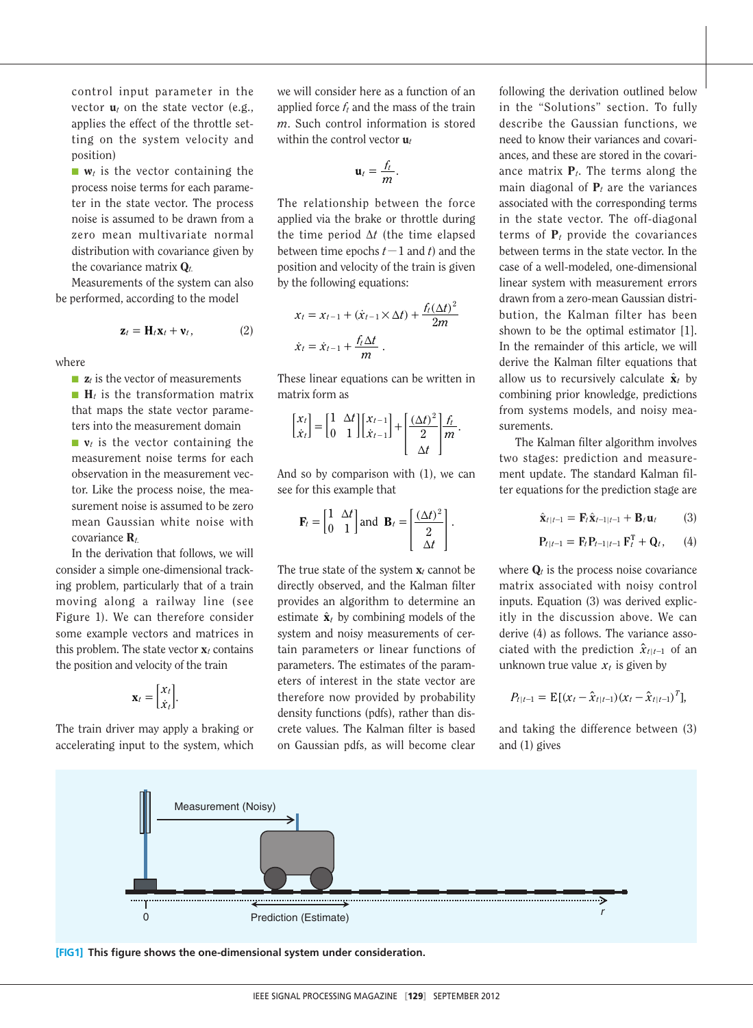control input parameter in the vector  $\mathbf{u}_t$  on the state vector (e.g., applies the effect of the throttle setting on the system velocity and position)

 $\blacksquare$  **w**<sub>t</sub> is the vector containing the process noise terms for each parameter in the state vector. The process noise is assumed to be drawn from a zero mean multivariate normal distribution with covariance given by the covariance matrix **Q***t.*

Measurements of the system can also be performed, according to the model

$$
\mathbf{z}_t = \mathbf{H}_t \mathbf{x}_t + \mathbf{v}_t, \tag{2}
$$

where

■ **z***t* is the vector of measurements

■ **H***t* is the transformation matrix that maps the state vector parameters into the measurement domain

■ **v***t* is the vector containing the measurement noise terms for each observation in the measurement vector. Like the process noise, the measurement noise is assumed to be zero mean Gaussian white noise with covariance **R***t.*

In the derivation that follows, we will consider a simple one-dimensional tracking problem, particularly that of a train moving along a railway line (see Figure 1). We can therefore consider some example vectors and matrices in this problem. The state vector  $\mathbf{x}_t$  contains the position and velocity of the train

$$
\mathbf{x}_t = \begin{bmatrix} x_t \\ \dot{x}_t \end{bmatrix}.
$$

The train driver may apply a braking or accelerating input to the system, which

we will consider here as a function of an applied force *ft* and the mass of the train *m*. Such control information is stored within the control vector **u***<sup>t</sup>*

$$
\mathbf{u}_t = \frac{f_t}{m}.
$$

The relationship between the force applied via the brake or throttle during the time period ∆*t* (the time elapsed between time epochs  $t-1$  and  $t$ ) and the position and velocity of the train is given by the following equations:

$$
x_t = x_{t-1} + (\dot{x}_{t-1} \times \Delta t) + \frac{f_t(\Delta t)^2}{2m}
$$
  

$$
\dot{x}_t = \dot{x}_{t-1} + \frac{f_t \Delta t}{m}.
$$

These linear equations can be written in matrix form as

$$
\begin{bmatrix} x_t \\ \dot{x}_t \end{bmatrix} = \begin{bmatrix} 1 & \Delta t \\ 0 & 1 \end{bmatrix} \begin{bmatrix} x_{t-1} \\ \dot{x}_{t-1} \end{bmatrix} + \begin{bmatrix} \frac{(\Delta t)^2}{2} \\ \frac{\Delta t}{2} \end{bmatrix} \frac{f_t}{m}.
$$

And so by comparison with (1), we can see for this example that

$$
\mathbf{F}_t = \begin{bmatrix} 1 & \Delta t \\ 0 & 1 \end{bmatrix} \text{and } \mathbf{B}_t = \begin{bmatrix} \frac{(\Delta t)^2}{2} \\ \frac{\Delta t}{2} \end{bmatrix}.
$$

The true state of the system  $\mathbf{x}_t$  cannot be directly observed, and the Kalman filter provides an algorithm to determine an estimate  $\hat{\mathbf{x}}_t$  by combining models of the system and noisy measurements of certain parameters or linear functions of parameters. The estimates of the parameters of interest in the state vector are therefore now provided by probability density functions (pdfs), rather than discrete values. The Kalman filter is based on Gaussian pdfs, as will become clear

following the derivation outlined below in the "Solutions" section. To fully describe the Gaussian functions, we need to know their variances and covariances, and these are stored in the covariance matrix **P***t*. The terms along the main diagonal of  $P_t$  are the variances associated with the corresponding terms in the state vector. The off-diagonal terms of  $P_t$  provide the covariances between terms in the state vector. In the case of a well-modeled, one-dimensional linear system with measurement errors drawn from a zero-mean Gaussian distribution, the Kalman filter has been shown to be the optimal estimator [1]. In the remainder of this article, we will derive the Kalman filter equations that allow us to recursively calculate  $\hat{\mathbf{x}}_t$  by combining prior knowledge, predictions from systems models, and noisy measurements.

The Kalman filter algorithm involves two stages: prediction and measurement update. The standard Kalman filter equations for the prediction stage are

$$
\hat{\mathbf{x}}_{t|t-1} = \mathbf{F}_t \hat{\mathbf{x}}_{t-1|t-1} + \mathbf{B}_t \mathbf{u}_t \tag{3}
$$

$$
P_{t|t-1} = F_t P_{t-1|t-1} F_t^T + Q_t, \qquad (4)
$$

where  $\mathbf{Q}_t$  is the process noise covariance matrix associated with noisy control inputs. Equation (3) was derived explicitly in the discussion above. We can derive (4) as follows. The variance associated with the prediction  $\hat{x}_{t|t-1}$  of an unknown true value  $x_t$  is given by

$$
P_{t|t-1} = \mathbb{E}[(x_t - \hat{x}_{t|t-1})(x_t - \hat{x}_{t|t-1})^T],
$$

and taking the difference between (3) and (1) gives



**[FIG1]** This figure shows the one-dimensional system under consideration.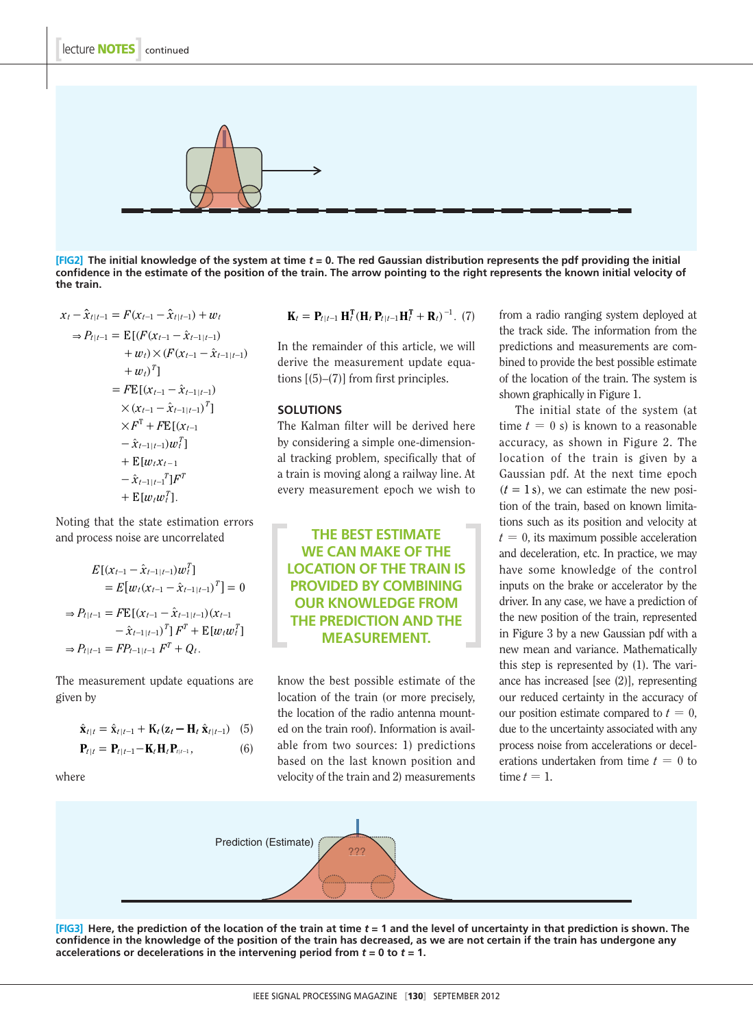

**[FIG2] The initialknowledge of the system at time** *t* **= 0. The red Gaussian distribution represents the pdf providing the initial confidence in the estimate of the position of the train. The arrow pointing to the right represents the known initial velocity of the train.** 

$$
x_{t} - \hat{x}_{t|t-1} = F(x_{t-1} - \hat{x}_{t|t-1}) + w_{t}
$$
  
\n
$$
\Rightarrow P_{t|t-1} = \mathbb{E}[(F(x_{t-1} - \hat{x}_{t-1|t-1}) + w_{t} \times (F(x_{t-1} - \hat{x}_{t-1|t-1}) + w_{t})^{T}]
$$
  
\n
$$
= F\mathbb{E}[(x_{t-1} - \hat{x}_{t-1|t-1}) + (x_{t-1} - \hat{x}_{t-1|t-1})^{T}] \times (x_{t-1} - \hat{x}_{t-1|t-1})^{T}] \times F^{T} + F\mathbb{E}[(x_{t-1} - \hat{x}_{t-1|t-1})w_{t}^{T}]
$$
  
\n
$$
+ \mathbb{E}[w_{t}x_{t-1} - \hat{x}_{t-1|t-1}^{T}]F^{T}
$$
  
\n
$$
+ \mathbb{E}[w_{t}w_{t}^{T}].
$$

Noting that the state estimation errors and process noise are uncorrelated

$$
E[(x_{t-1} - \hat{x}_{t-1|t-1})w_t^T]
$$
  
=  $E[w_t(x_{t-1} - \hat{x}_{t-1|t-1})^T] = 0$   

$$
\Rightarrow P_{t|t-1} = F E[(x_{t-1} - \hat{x}_{t-1|t-1})(x_{t-1} - \hat{x}_{t-1|t-1})^T]F^T + E[w_t w_t^T]
$$
  

$$
\Rightarrow P_{t|t-1} = FP_{t-1|t-1} F^T + Q_t.
$$

The measurement update equations are given by

$$
\hat{\mathbf{x}}_{t|t} = \hat{\mathbf{x}}_{t|t-1} + \mathbf{K}_t (\mathbf{z}_t - \mathbf{H}_t \hat{\mathbf{x}}_{t|t-1}) \quad (5)
$$
  

$$
\mathbf{P}_{t|t} = \mathbf{P}_{t|t-1} - \mathbf{K}_t \mathbf{H}_t \mathbf{P}_{t|t-1}, \quad (6)
$$

where

$$
\mathbf{K}_t = \mathbf{P}_{t|t-1} \mathbf{H}_t^{\mathrm{T}} (\mathbf{H}_t \, \mathbf{P}_{t|t-1} \mathbf{H}_t^{\mathrm{T}} + \mathbf{R}_t)^{-1}.
$$
 (7)

In the remainder of this article, we will derive the measurement update equations [(5)–(7)] from first principles.

## **SOLUTIONS**

The Kalman filter will be derived here by considering a simple one-dimensional tracking problem, specifically that of a train is moving along a railway line. At every measurement epoch we wish to

**THE BEST ESTIMATE WE CAN MAKE OF THE LOCATION OF THE TRAIN IS PROVIDED BY COMBINING OUR KNOWLEDGE FROM THE PREDICTION AND THE MEASUREMENT.**

know the best possible estimate of the location of the train (or more precisely, the location of the radio antenna mounted on the train roof). Information is available from two sources: 1) predictions based on the last known position and velocity of the train and 2) measurements

from a radio ranging system deployed at the track side. The information from the predictions and measurements are combined to provide the best possible estimate of the location of the train. The system is shown graphically in Figure 1.

The initial state of the system (at time  $t = 0$  s) is known to a reasonable accuracy, as shown in Figure 2. The location of the train is given by a Gaussian pdf. At the next time epoch  $(t = 1 s)$ , we can estimate the new position of the train, based on known limitations such as its position and velocity at  $t = 0$ , its maximum possible acceleration and deceleration, etc. In practice, we may have some knowledge of the control inputs on the brake or accelerator by the driver. In any case, we have a prediction of the new position of the train, represented in Figure 3 by a new Gaussian pdf with a new mean and variance. Mathematically this step is represented by (1). The variance has increased [see (2)], representing our reduced certainty in the accuracy of our position estimate compared to  $t = 0$ , due to the uncertainty associated with any process noise from accelerations or decelerations undertaken from time  $t = 0$  to time  $t = 1$ .



**[FIG3]** Here, the prediction of the location of the train at time  $t = 1$  and the level of uncertainty in that prediction is shown. The **confidence in the knowledge of the position of the train has decreased, as we are not certain if the train has undergone any accelerations or decelerations in the intervening period from** *t* **= 0 to** *t* **= 1.**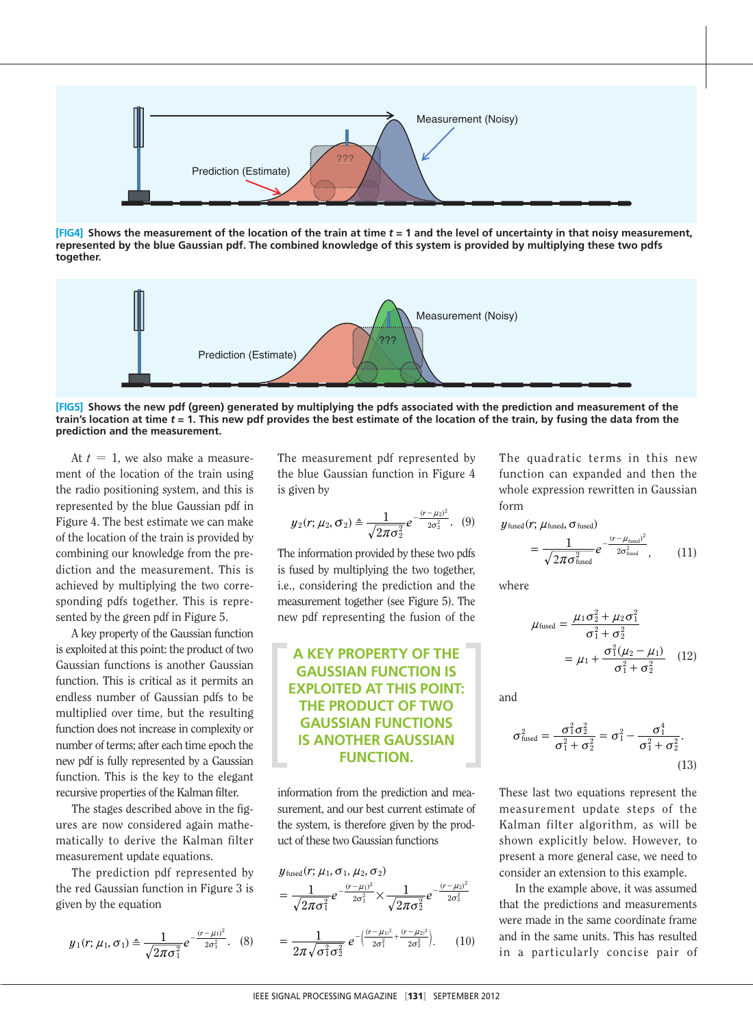

**[FIG4]** Shows the measurement of the location of the train at time  $t = 1$  and the level of uncertainty in that noisy measurement, **represented by the blue Gaussian pdf. The combined knowledge of this system is provided by multiplying these two pdfs together.**



**[FIG5] Shows the new pdf (green) generated by multiplying the pdfs associated with the prediction and measurement of the train's location at time** *t* **= 1. This new pdf provides the best estimate of the location of the train, by fusing the data from the prediction and the measurement.**

At  $t = 1$ , we also make a measurement of the location of the train using the radio positioning system, and this is represented by the blue Gaussian pdf in Figure 4. The best estimate we can make of the location of the train is provided by combining our knowledge from the prediction and the measurement. This is achieved by multiplying the two corresponding pdfs together. This is represented by the green pdf in Figure 5.

A key property of the Gaussian function is exploited at this point: the product of two Gaussian functions is another Gaussian function. This is critical as it permits an endless number of Gaussian pdfs to be multiplied over time, but the resulting function does not increase in complexity or number of terms; after each time epoch the new pdf is fully represented by a Gaussian function. This is the key to the elegant recursive properties of the Kalman filter.

The stages described above in the figures are now considered again mathematically to derive the Kalman filter measurement update equations.

The prediction pdf represented by the red Gaussian function in Figure 3 is given by the equation

$$
y_1(r; \mu_1, \sigma_1) \triangleq \frac{1}{\sqrt{2\pi\sigma_1^2}} e^{-\frac{(r-\mu_1)^2}{2\sigma_1^2}}.
$$
 (8)

The measurement pdf represented by the blue Gaussian function in Figure 4 is given by

$$
y_2(r; \mu_2, \sigma_2) \triangleq \frac{1}{\sqrt{2\pi\sigma_2^2}} e^{-\frac{(r-\mu_2)^2}{2\sigma_2^2}}.
$$
 (9)

The information provided by these two pdfs is fused by multiplying the two together, i.e., considering the prediction and the measurement together (see Figure 5). The new pdf representing the fusion of the

## **A KEY PROPERTY OF THE GAUSSIAN FUNCTION IS EXPLOITED AT THIS POINT: THE PRODUCT OF TWO GAUSSIAN FUNCTIONS IS ANOTHER GAUSSIAN FUNCTION.**

information from the prediction and measurement, and our best current estimate of the system, is therefore given by the product of these two Gaussian functions

$$
y_{\text{fused}}(r; \mu_1, \sigma_1, \mu_2, \sigma_2)
$$
  
= 
$$
\frac{1}{\sqrt{2\pi\sigma_1^2}} e^{-\frac{(r-\mu_1)^2}{2\sigma_1^2}} \times \frac{1}{\sqrt{2\pi\sigma_2^2}} e^{-\frac{(r-\mu_2)^2}{2\sigma_2^2}}
$$
  
= 
$$
\frac{1}{2\pi\sqrt{\sigma_1^2\sigma_2^2}} e^{-\left(\frac{(r-\mu_1)^2}{2\sigma_1^2} + \frac{(r-\mu_2)^2}{2\sigma_2^2}\right)}. (10)
$$

The quadratic terms in this new function can expanded and then the whole expression rewritten in Gaussian form

$$
\mathcal{Y}_{\text{fused}}(r; \mu_{\text{fused}}, \sigma_{\text{fused}})
$$

$$
= \frac{1}{\sqrt{2\pi\sigma_{\text{fused}}^2}} e^{-\frac{(r - \mu_{\text{fused}})^2}{2\sigma_{\text{fused}}^2}}, \qquad (11)
$$

where

$$
\mu_{\text{fused}} = \frac{\mu_1 \sigma_2^2 + \mu_2 \sigma_1^2}{\sigma_1^2 + \sigma_2^2}
$$

$$
= \mu_1 + \frac{\sigma_1^2 (\mu_2 - \mu_1)}{\sigma_1^2 + \sigma_2^2} \quad (12)
$$

and

$$
\sigma_{\text{fused}}^2 = \frac{\sigma_1^2 \sigma_2^2}{\sigma_1^2 + \sigma_2^2} = \sigma_1^2 - \frac{\sigma_1^4}{\sigma_1^2 + \sigma_2^2}.
$$
\n(13)

These last two equations represent the measurement update steps of the Kalman filter algorithm, as will be shown explicitly below. However, to present a more general case, we need to consider an extension to this example.

In the example above, it was assumed that the predictions and measurements were made in the same coordinate frame and in the same units. This has resulted in a particularly concise pair of